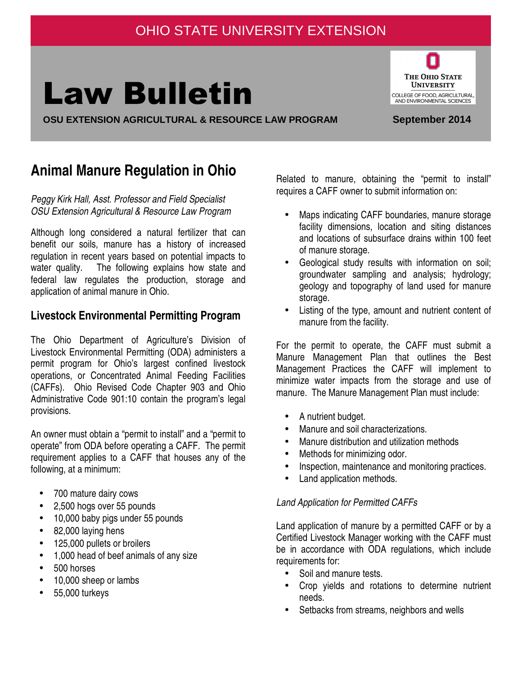# OHIO STATE UNIVERSITY EXTENSION

# Law Bulletin

**OSU EXTENSION AGRICULTURAL & RESOURCE LAW PROGRAM September 2014**

#### Ó THE OHIO STATE **UNIVERSITY** COLLEGE OF FOOD, AGRICULTURAL, AND ENVIRONMENTAL SCIENCES

# **Animal Manure Regulation in Ohio**

Peggy Kirk Hall, Asst. Professor and Field Specialist OSU Extension Agricultural & Resource Law Program

Although long considered a natural fertilizer that can benefit our soils, manure has a history of increased regulation in recent years based on potential impacts to water quality. The following explains how state and federal law regulates the production, storage and application of animal manure in Ohio.

# **Livestock Environmental Permitting Program**

The Ohio Department of Agriculture's Division of Livestock Environmental Permitting (ODA) administers a permit program for Ohio's largest confined livestock operations, or Concentrated Animal Feeding Facilities (CAFFs). Ohio Revised Code Chapter 903 and Ohio Administrative Code 901:10 contain the program's legal provisions.

An owner must obtain a "permit to install" and a "permit to operate" from ODA before operating a CAFF. The permit requirement applies to a CAFF that houses any of the following, at a minimum:

- 700 mature dairy cows
- 2,500 hogs over 55 pounds
- 10,000 baby pigs under 55 pounds
- 82,000 laying hens
- 125,000 pullets or broilers
- 1,000 head of beef animals of any size
- 500 horses
- 10,000 sheep or lambs
- 55,000 turkeys

Related to manure, obtaining the "permit to install" requires a CAFF owner to submit information on:

- Maps indicating CAFF boundaries, manure storage facility dimensions, location and siting distances and locations of subsurface drains within 100 feet of manure storage.
- Geological study results with information on soil; groundwater sampling and analysis; hydrology; geology and topography of land used for manure storage.
- Listing of the type, amount and nutrient content of manure from the facility.

For the permit to operate, the CAFF must submit a Manure Management Plan that outlines the Best Management Practices the CAFF will implement to minimize water impacts from the storage and use of manure. The Manure Management Plan must include:

- A nutrient budget.
- Manure and soil characterizations.
- Manure distribution and utilization methods
- Methods for minimizing odor.
- Inspection, maintenance and monitoring practices.
- Land application methods.

#### Land Application for Permitted CAFFs

Land application of manure by a permitted CAFF or by a Certified Livestock Manager working with the CAFF must be in accordance with ODA regulations, which include requirements for:

- Soil and manure tests.
- Crop yields and rotations to determine nutrient needs.
- Setbacks from streams, neighbors and wells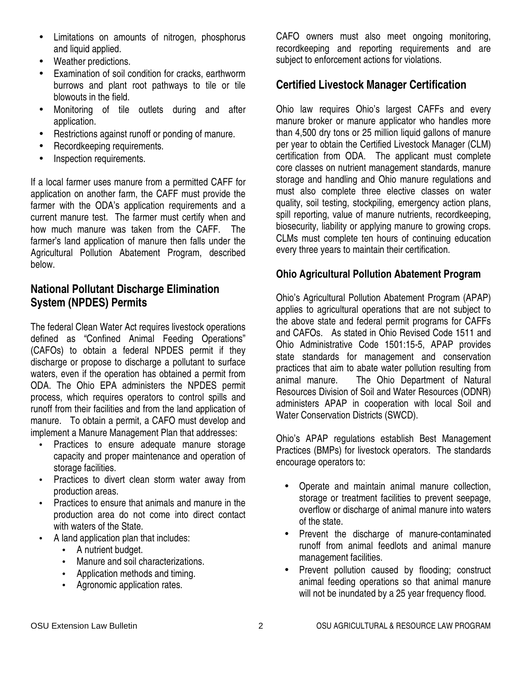- Limitations on amounts of nitrogen, phosphorus and liquid applied.
- Weather predictions.
- Examination of soil condition for cracks, earthworm burrows and plant root pathways to tile or tile blowouts in the field.
- Monitoring of tile outlets during and after application.
- Restrictions against runoff or ponding of manure.
- Recordkeeping requirements.
- Inspection requirements.

If a local farmer uses manure from a permitted CAFF for application on another farm, the CAFF must provide the farmer with the ODA's application requirements and a current manure test. The farmer must certify when and how much manure was taken from the CAFF. The farmer's land application of manure then falls under the Agricultural Pollution Abatement Program, described below.

## **National Pollutant Discharge Elimination System (NPDES) Permits**

The federal Clean Water Act requires livestock operations defined as "Confined Animal Feeding Operations" (CAFOs) to obtain a federal NPDES permit if they discharge or propose to discharge a pollutant to surface waters, even if the operation has obtained a permit from ODA. The Ohio EPA administers the NPDES permit process, which requires operators to control spills and runoff from their facilities and from the land application of manure. To obtain a permit, a CAFO must develop and implement a Manure Management Plan that addresses:

- Practices to ensure adequate manure storage capacity and proper maintenance and operation of storage facilities.
- Practices to divert clean storm water away from production areas.
- Practices to ensure that animals and manure in the production area do not come into direct contact with waters of the State.
- A land application plan that includes:
	- A nutrient budget.
	- Manure and soil characterizations.
	- Application methods and timing.
	- Agronomic application rates.

CAFO owners must also meet ongoing monitoring, recordkeeping and reporting requirements and are subject to enforcement actions for violations.

### **Certified Livestock Manager Certification**

Ohio law requires Ohio's largest CAFFs and every manure broker or manure applicator who handles more than 4,500 dry tons or 25 million liquid gallons of manure per year to obtain the Certified Livestock Manager (CLM) certification from ODA. The applicant must complete core classes on nutrient management standards, manure storage and handling and Ohio manure regulations and must also complete three elective classes on water quality, soil testing, stockpiling, emergency action plans, spill reporting, value of manure nutrients, recordkeeping, biosecurity, liability or applying manure to growing crops. CLMs must complete ten hours of continuing education every three years to maintain their certification.

#### **Ohio Agricultural Pollution Abatement Program**

Ohio's Agricultural Pollution Abatement Program (APAP) applies to agricultural operations that are not subject to the above state and federal permit programs for CAFFs and CAFOs. As stated in Ohio Revised Code 1511 and Ohio Administrative Code 1501:15-5, APAP provides state standards for management and conservation practices that aim to abate water pollution resulting from animal manure. The Ohio Department of Natural Resources Division of Soil and Water Resources (ODNR) administers APAP in cooperation with local Soil and Water Conservation Districts (SWCD).

Ohio's APAP regulations establish Best Management Practices (BMPs) for livestock operators. The standards encourage operators to:

- Operate and maintain animal manure collection, storage or treatment facilities to prevent seepage, overflow or discharge of animal manure into waters of the state.
- Prevent the discharge of manure-contaminated runoff from animal feedlots and animal manure management facilities.
- Prevent pollution caused by flooding; construct animal feeding operations so that animal manure will not be inundated by a 25 year frequency flood.